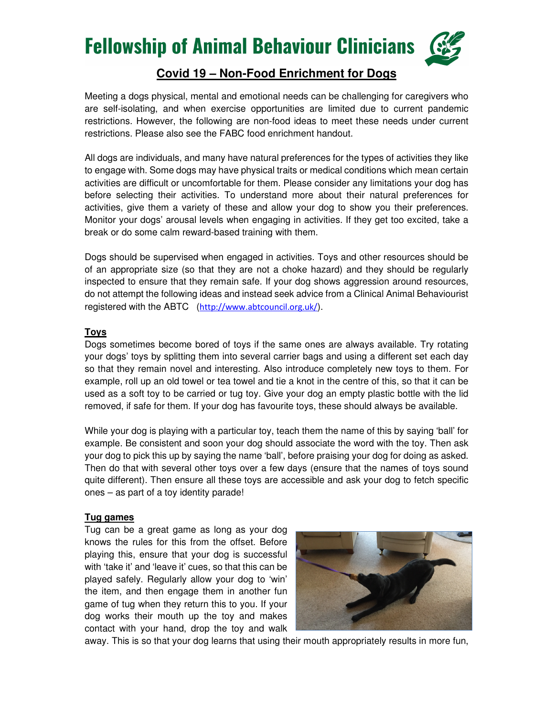

## **Covid 19 – Non-Food Enrichment for Dogs**

Meeting a dogs physical, mental and emotional needs can be challenging for caregivers who are self-isolating, and when exercise opportunities are limited due to current pandemic restrictions. However, the following are non-food ideas to meet these needs under current restrictions. Please also see the FABC food enrichment handout.

All dogs are individuals, and many have natural preferences for the types of activities they like to engage with. Some dogs may have physical traits or medical conditions which mean certain activities are difficult or uncomfortable for them. Please consider any limitations your dog has before selecting their activities. To understand more about their natural preferences for activities, give them a variety of these and allow your dog to show you their preferences. Monitor your dogs' arousal levels when engaging in activities. If they get too excited, take a break or do some calm reward-based training with them.

Dogs should be supervised when engaged in activities. Toys and other resources should be of an appropriate size (so that they are not a choke hazard) and they should be regularly inspected to ensure that they remain safe. If your dog shows aggression around resources, do not attempt the following ideas and instead seek advice from a Clinical Animal Behaviourist registered with the ABTC (http://www.abtcouncil.org.uk/).

### **Toys**

Dogs sometimes become bored of toys if the same ones are always available. Try rotating your dogs' toys by splitting them into several carrier bags and using a different set each day so that they remain novel and interesting. Also introduce completely new toys to them. For example, roll up an old towel or tea towel and tie a knot in the centre of this, so that it can be used as a soft toy to be carried or tug toy. Give your dog an empty plastic bottle with the lid removed, if safe for them. If your dog has favourite toys, these should always be available.

While your dog is playing with a particular toy, teach them the name of this by saying 'ball' for example. Be consistent and soon your dog should associate the word with the toy. Then ask your dog to pick this up by saying the name 'ball', before praising your dog for doing as asked. Then do that with several other toys over a few days (ensure that the names of toys sound quite different). Then ensure all these toys are accessible and ask your dog to fetch specific ones – as part of a toy identity parade!

### **Tug games**

Tug can be a great game as long as your dog knows the rules for this from the offset. Before playing this, ensure that your dog is successful with 'take it' and 'leave it' cues, so that this can be played safely. Regularly allow your dog to 'win' the item, and then engage them in another fun game of tug when they return this to you. If your dog works their mouth up the toy and makes contact with your hand, drop the toy and walk



away. This is so that your dog learns that using their mouth appropriately results in more fun,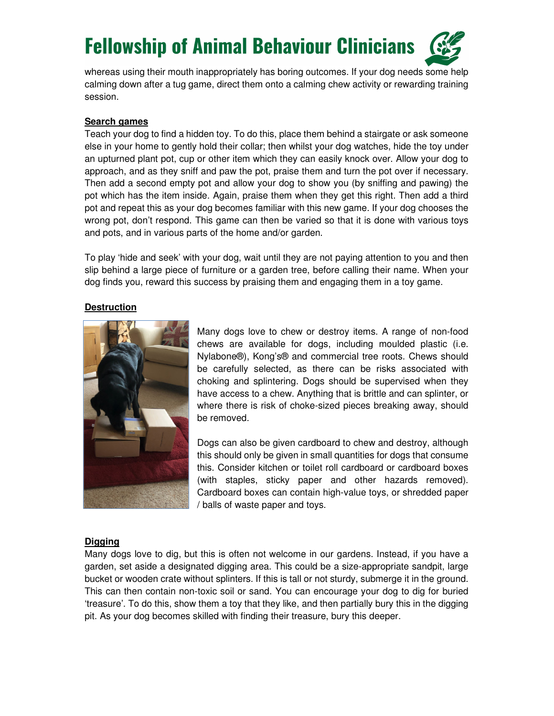

whereas using their mouth inappropriately has boring outcomes. If your dog needs some help calming down after a tug game, direct them onto a calming chew activity or rewarding training session.

### **Search games**

Teach your dog to find a hidden toy. To do this, place them behind a stairgate or ask someone else in your home to gently hold their collar; then whilst your dog watches, hide the toy under an upturned plant pot, cup or other item which they can easily knock over. Allow your dog to approach, and as they sniff and paw the pot, praise them and turn the pot over if necessary. Then add a second empty pot and allow your dog to show you (by sniffing and pawing) the pot which has the item inside. Again, praise them when they get this right. Then add a third pot and repeat this as your dog becomes familiar with this new game. If your dog chooses the wrong pot, don't respond. This game can then be varied so that it is done with various toys and pots, and in various parts of the home and/or garden.

To play 'hide and seek' with your dog, wait until they are not paying attention to you and then slip behind a large piece of furniture or a garden tree, before calling their name. When your dog finds you, reward this success by praising them and engaging them in a toy game.

### **Destruction**



Many dogs love to chew or destroy items. A range of non-food chews are available for dogs, including moulded plastic (i.e. Nylabone®), Kong's® and commercial tree roots. Chews should be carefully selected, as there can be risks associated with choking and splintering. Dogs should be supervised when they have access to a chew. Anything that is brittle and can splinter, or where there is risk of choke-sized pieces breaking away, should be removed.

Dogs can also be given cardboard to chew and destroy, although this should only be given in small quantities for dogs that consume this. Consider kitchen or toilet roll cardboard or cardboard boxes (with staples, sticky paper and other hazards removed). Cardboard boxes can contain high-value toys, or shredded paper / balls of waste paper and toys.

#### **Digging**

Many dogs love to dig, but this is often not welcome in our gardens. Instead, if you have a garden, set aside a designated digging area. This could be a size-appropriate sandpit, large bucket or wooden crate without splinters. If this is tall or not sturdy, submerge it in the ground. This can then contain non-toxic soil or sand. You can encourage your dog to dig for buried 'treasure'. To do this, show them a toy that they like, and then partially bury this in the digging pit. As your dog becomes skilled with finding their treasure, bury this deeper.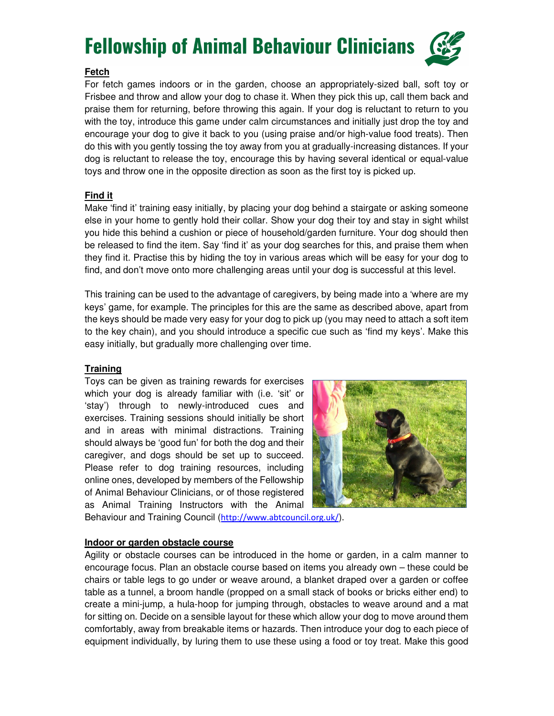

## **Fetch**

For fetch games indoors or in the garden, choose an appropriately-sized ball, soft toy or Frisbee and throw and allow your dog to chase it. When they pick this up, call them back and praise them for returning, before throwing this again. If your dog is reluctant to return to you with the toy, introduce this game under calm circumstances and initially just drop the toy and encourage your dog to give it back to you (using praise and/or high-value food treats). Then do this with you gently tossing the toy away from you at gradually-increasing distances. If your dog is reluctant to release the toy, encourage this by having several identical or equal-value toys and throw one in the opposite direction as soon as the first toy is picked up.

## **Find it**

Make 'find it' training easy initially, by placing your dog behind a stairgate or asking someone else in your home to gently hold their collar. Show your dog their toy and stay in sight whilst you hide this behind a cushion or piece of household/garden furniture. Your dog should then be released to find the item. Say 'find it' as your dog searches for this, and praise them when they find it. Practise this by hiding the toy in various areas which will be easy for your dog to find, and don't move onto more challenging areas until your dog is successful at this level.

This training can be used to the advantage of caregivers, by being made into a 'where are my keys' game, for example. The principles for this are the same as described above, apart from the keys should be made very easy for your dog to pick up (you may need to attach a soft item to the key chain), and you should introduce a specific cue such as 'find my keys'. Make this easy initially, but gradually more challenging over time.

## **Training**

Toys can be given as training rewards for exercises which your dog is already familiar with (i.e. 'sit' or 'stay') through to newly-introduced cues and exercises. Training sessions should initially be short and in areas with minimal distractions. Training should always be 'good fun' for both the dog and their caregiver, and dogs should be set up to succeed. Please refer to dog training resources, including online ones, developed by members of the Fellowship of Animal Behaviour Clinicians, or of those registered as Animal Training Instructors with the Animal



Behaviour and Training Council (http://www.abtcouncil.org.uk/).

## **Indoor or garden obstacle course**

Agility or obstacle courses can be introduced in the home or garden, in a calm manner to encourage focus. Plan an obstacle course based on items you already own – these could be chairs or table legs to go under or weave around, a blanket draped over a garden or coffee table as a tunnel, a broom handle (propped on a small stack of books or bricks either end) to create a mini-jump, a hula-hoop for jumping through, obstacles to weave around and a mat for sitting on. Decide on a sensible layout for these which allow your dog to move around them comfortably, away from breakable items or hazards. Then introduce your dog to each piece of equipment individually, by luring them to use these using a food or toy treat. Make this good